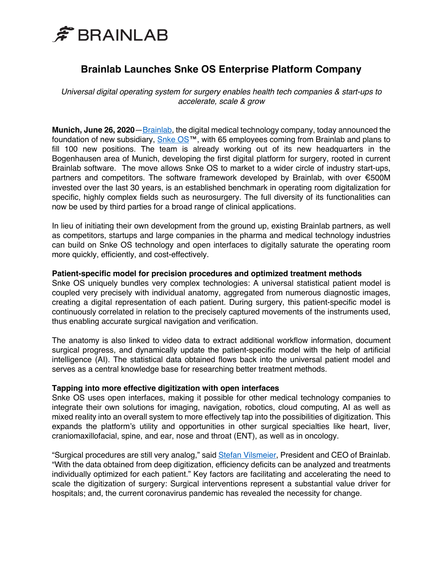

## **Brainlab Launches Snke OS Enterprise Platform Company**

*Universal digital operating system for surgery enables health tech companies & start-ups to accelerate, scale & grow*

**Munich, June 26, 2020**—Brainlab, the digital medical technology company, today announced the foundation of new subsidiary,  $Snke OS™$ , with 65 employees coming from Brainlab and plans to fill 100 new positions. The team is already working out of its new headquarters in the Bogenhausen area of Munich, developing the first digital platform for surgery, rooted in current Brainlab software. The move allows Snke OS to market to a wider circle of industry start-ups, partners and competitors. The software framework developed by Brainlab, with over €500M invested over the last 30 years, is an established benchmark in operating room digitalization for specific, highly complex fields such as neurosurgery. The full diversity of its functionalities can now be used by third parties for a broad range of clinical applications.

In lieu of initiating their own development from the ground up, existing Brainlab partners, as well as competitors, startups and large companies in the pharma and medical technology industries can build on Snke OS technology and open interfaces to digitally saturate the operating room more quickly, efficiently, and cost-effectively.

## **Patient-specific model for precision procedures and optimized treatment methods**

Snke OS uniquely bundles very complex technologies: A universal statistical patient model is coupled very precisely with individual anatomy, aggregated from numerous diagnostic images, creating a digital representation of each patient. During surgery, this patient-specific model is continuously correlated in relation to the precisely captured movements of the instruments used, thus enabling accurate surgical navigation and verification.

The anatomy is also linked to video data to extract additional workflow information, document surgical progress, and dynamically update the patient-specific model with the help of artificial intelligence (AI). The statistical data obtained flows back into the universal patient model and serves as a central knowledge base for researching better treatment methods.

## **Tapping into more effective digitization with open interfaces**

Snke OS uses open interfaces, making it possible for other medical technology companies to integrate their own solutions for imaging, navigation, robotics, cloud computing, AI as well as mixed reality into an overall system to more effectively tap into the possibilities of digitization. This expands the platform's utility and opportunities in other surgical specialties like heart, liver, craniomaxillofacial, spine, and ear, nose and throat (ENT), as well as in oncology.

"Surgical procedures are still very analog," said Stefan Vilsmeier, President and CEO of Brainlab. "With the data obtained from deep digitization, efficiency deficits can be analyzed and treatments individually optimized for each patient." Key factors are facilitating and accelerating the need to scale the digitization of surgery: Surgical interventions represent a substantial value driver for hospitals; and, the current coronavirus pandemic has revealed the necessity for change.